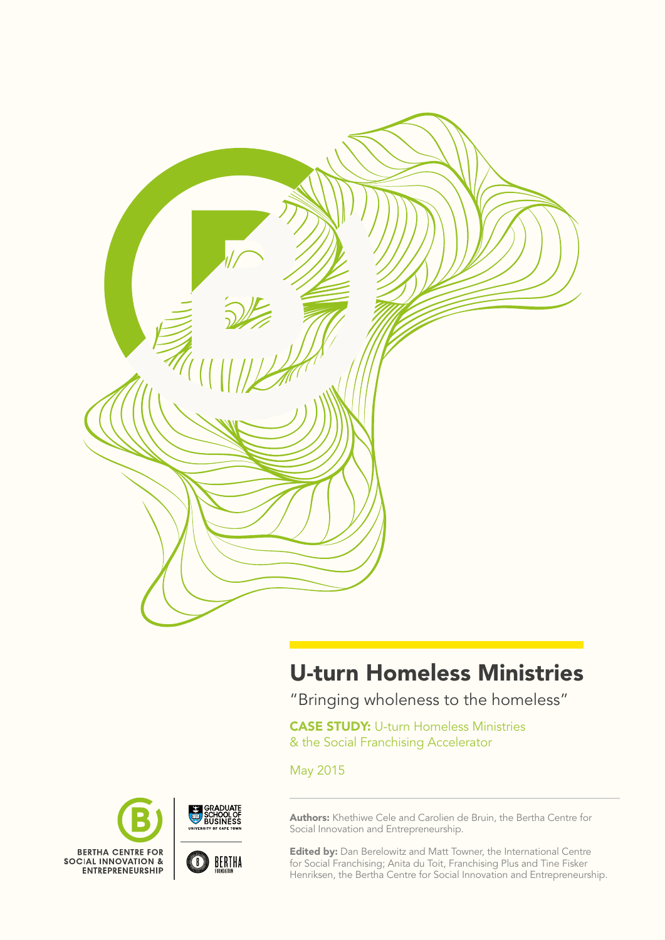

# U-turn Homeless Ministries

"Bringing wholeness to the homeless"

**CASE STUDY: U-turn Homeless Ministries** & the Social Franchising Accelerator

May 2015



Authors: Khethiwe Cele and Carolien de Bruin, the Bertha Centre for Social Innovation and Entrepreneurship.

**Edited by:** Dan Berelowitz and Matt Towner, the International Centre for Social Franchising; Anita du Toit, Franchising Plus and Tine Fisker Henriksen, the Bertha Centre for Social Innovation and Entrepreneurship.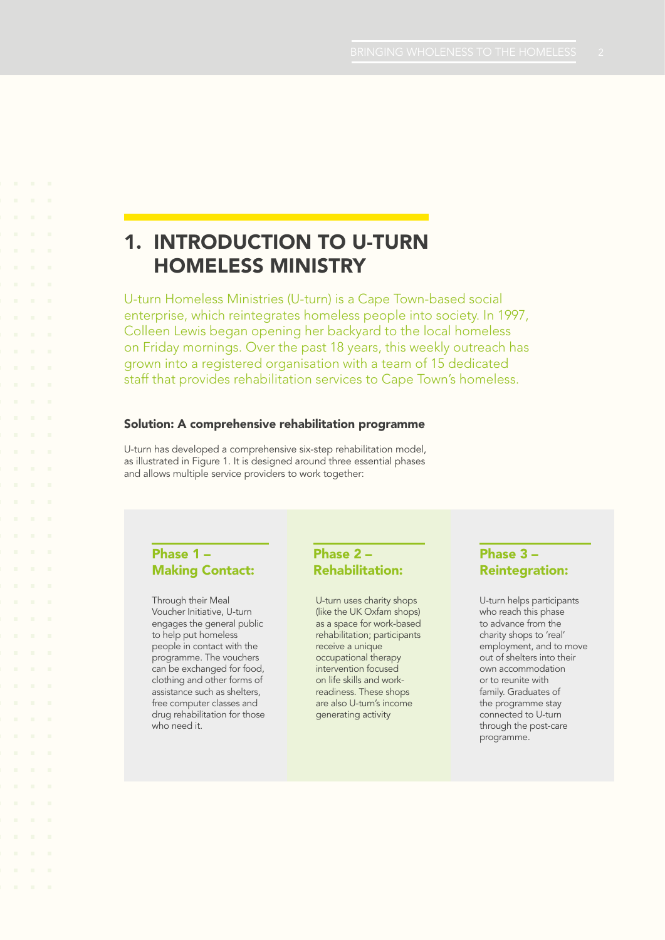## 1. Introduction to U-turn Homeless Ministry

U-turn Homeless Ministries (U-turn) is a Cape Town-based social enterprise, which reintegrates homeless people into society. In 1997, Colleen Lewis began opening her backyard to the local homeless on Friday mornings. Over the past 18 years, this weekly outreach has grown into a registered organisation with a team of 15 dedicated staff that provides rehabilitation services to Cape Town's homeless.

### Solution: A comprehensive rehabilitation programme

U-turn has developed a comprehensive six-step rehabilitation model, as illustrated in Figure 1. It is designed around three essential phases and allows multiple service providers to work together:

## Phase 1 – Making Contact:

Through their Meal Voucher Initiative, U-turn engages the general public to help put homeless people in contact with the programme. The vouchers can be exchanged for food, clothing and other forms of assistance such as shelters, free computer classes and drug rehabilitation for those who need it.

## Phase 2 – Rehabilitation:

U-turn uses charity shops (like the UK Oxfam shops) as a space for work-based rehabilitation; participants receive a unique occupational therapy intervention focused on life skills and workreadiness. These shops are also U-turn's income generating activity

## Phase 3 – Reintegration:

U-turn helps participants who reach this phase to advance from the charity shops to 'real' employment, and to move out of shelters into their own accommodation or to reunite with family. Graduates of the programme stay connected to U-turn through the post-care programme.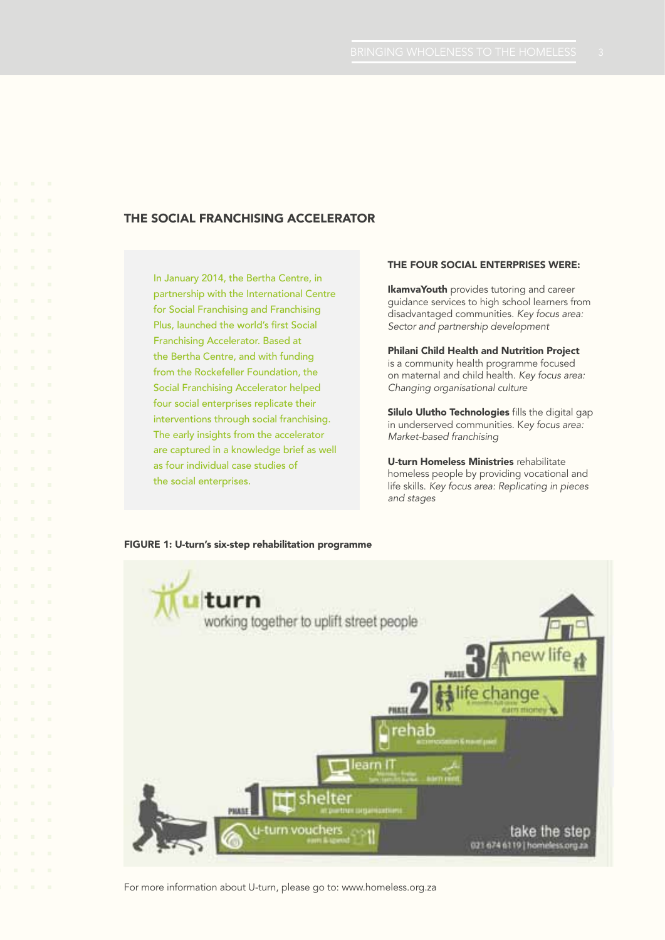## THE SOCIAL FRANCHISING ACCELERATOR

In January 2014, the Bertha Centre, in partnership with the International Centre for Social Franchising and Franchising Plus, launched the world's first Social Franchising Accelerator. Based at the Bertha Centre, and with funding from the Rockefeller Foundation, the Social Franchising Accelerator helped four social enterprises replicate their interventions through social franchising. The early insights from the accelerator are captured in a knowledge brief as well as four individual case studies of the social enterprises.

#### The four social enterprises were:

**IkamvaYouth** provides tutoring and career guidance services to high school learners from disadvantaged communities. *Key focus area: Sector and partnership development*

Philani Child Health and Nutrition Project is a community health programme focused on maternal and child health. *Key focus area: Changing organisational culture*

Silulo Ulutho Technologies fills the digital gap in underserved communities. K*ey focus area: Market-based franchising*

U-turn Homeless Ministries rehabilitate homeless people by providing vocational and life skills. *Key focus area: Replicating in pieces and stages*

#### FIGURE 1: U-turn's six-step rehabilitation programme



For more information about U-turn, please go to: www.homeless.org.za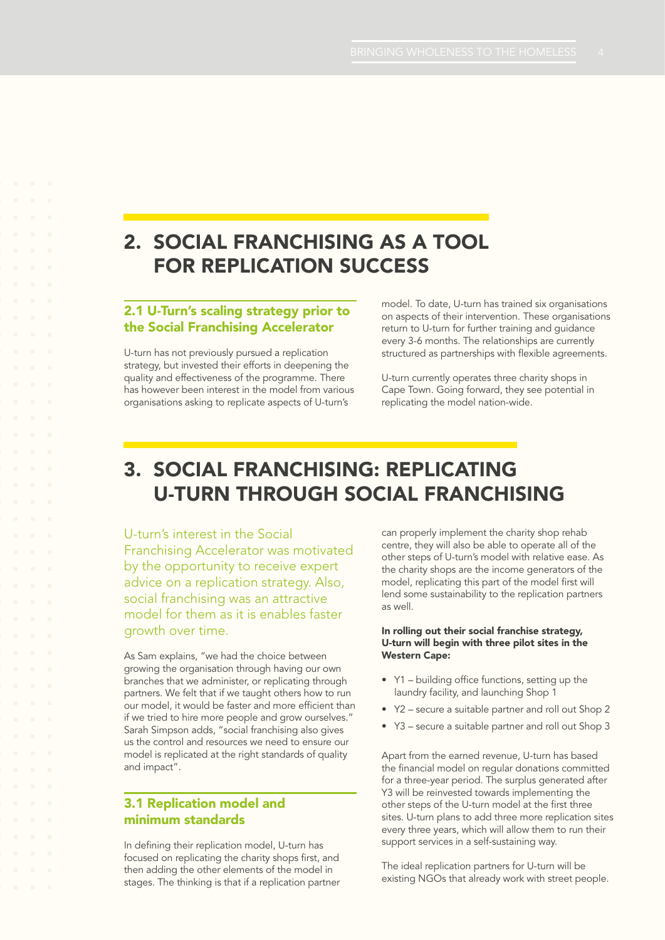## 2. SOCIAL FRANCHISING AS A TOOL FOR REPLICATION SUCCESS

## 2.1 U-Turn's scaling strategy prior to the Social Franchising Accelerator

U-turn has not previously pursued a replication strategy, but invested their efforts in deepening the quality and effectiveness of the programme. There has however been interest in the model from various organisations asking to replicate aspects of U-turn's

model. To date, U-turn has trained six organisations on aspects of their intervention. These organisations return to U-turn for further training and guidance every 3-6 months. The relationships are currently structured as partnerships with flexible agreements.

U-turn currently operates three charity shops in Cape Town. Going forward, they see potential in replicating the model nation-wide.

## 3. Social Franchising: Replicating U-Turn through social franchising

### U-turn's interest in the Social

Franchising Accelerator was motivated by the opportunity to receive expert advice on a replication strategy. Also, social franchising was an attractive model for them as it is enables faster growth over time.

As Sam explains, "we had the choice between growing the organisation through having our own branches that we administer, or replicating through partners. We felt that if we taught others how to run our model, it would be faster and more efficient than if we tried to hire more people and grow ourselves." Sarah Simpson adds, "social franchising also gives us the control and resources we need to ensure our model is replicated at the right standards of quality and impact".

## 3.1 Replication model and minimum standards

In defining their replication model, U-turn has focused on replicating the charity shops first, and then adding the other elements of the model in stages. The thinking is that if a replication partner can properly implement the charity shop rehab centre, they will also be able to operate all of the other steps of U-turn's model with relative ease. As the charity shops are the income generators of the model, replicating this part of the model first will lend some sustainability to the replication partners as well.

#### In rolling out their social franchise strategy, U-turn will begin with three pilot sites in the Western Cape:

- • Y1 building office functions, setting up the laundry facility, and launching Shop 1
- • Y2 secure a suitable partner and roll out Shop 2
- • Y3 secure a suitable partner and roll out Shop 3

Apart from the earned revenue, U-turn has based the financial model on regular donations committed for a three-year period. The surplus generated after Y3 will be reinvested towards implementing the other steps of the U-turn model at the first three sites. U-turn plans to add three more replication sites every three years, which will allow them to run their support services in a self-sustaining way.

The ideal replication partners for U-turn will be existing NGOs that already work with street people.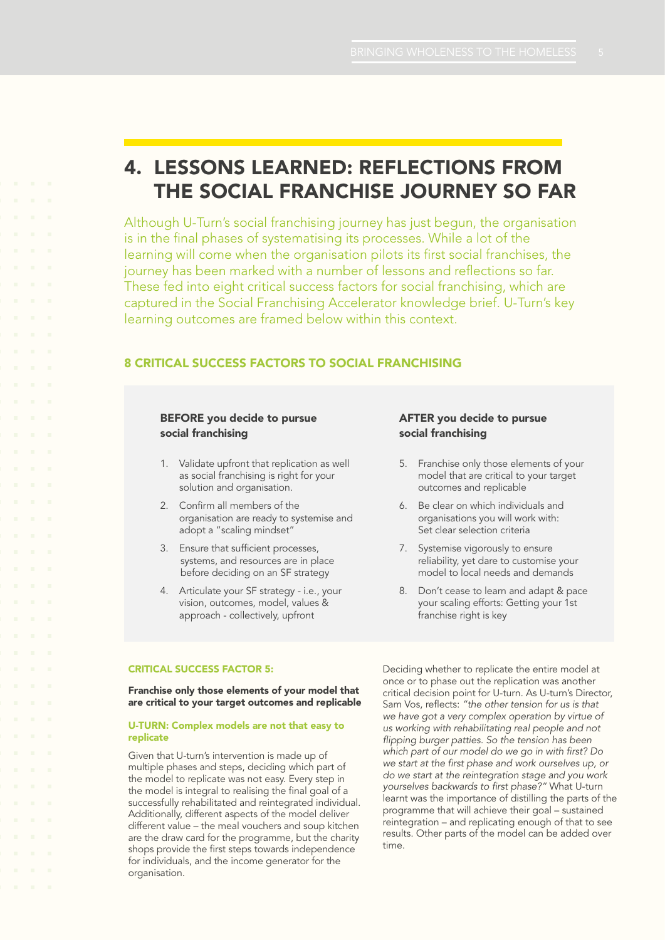## 4. Lessons learned: Reflections from the social franchise journey so far

Although U-Turn's social franchising journey has just begun, the organisation is in the final phases of systematising its processes. While a lot of the learning will come when the organisation pilots its first social franchises, the journey has been marked with a number of lessons and reflections so far. These fed into eight critical success factors for social franchising, which are captured in the Social Franchising Accelerator knowledge brief. U-Turn's key learning outcomes are framed below within this context.

## 8 critical success factors to social franchising

### BEFORE you decide to pursue social franchising

- 1. Validate upfront that replication as well as social franchising is right for your solution and organisation.
- 2. Confirm all members of the organisation are ready to systemise and adopt a "scaling mindset"
- 3. Ensure that sufficient processes, systems, and resources are in place before deciding on an SF strategy
- 4. Articulate your SF strategy i.e., your vision, outcomes, model, values & approach - collectively, upfront

### AFTER you decide to pursue social franchising

- 5. Franchise only those elements of your model that are critical to your target outcomes and replicable
- 6. Be clear on which individuals and organisations you will work with: Set clear selection criteria
- 7. Systemise vigorously to ensure reliability, yet dare to customise your model to local needs and demands
- 8. Don't cease to learn and adapt & pace your scaling efforts: Getting your 1st franchise right is key

#### Critical success factor 5:

Franchise only those elements of your model that are critical to your target outcomes and replicable

#### U-TURN: Complex models are not that easy to replicate

Given that U-turn's intervention is made up of multiple phases and steps, deciding which part of the model to replicate was not easy. Every step in the model is integral to realising the final goal of a successfully rehabilitated and reintegrated individual. Additionally, different aspects of the model deliver different value – the meal vouchers and soup kitchen are the draw card for the programme, but the charity shops provide the first steps towards independence for individuals, and the income generator for the organisation.

Deciding whether to replicate the entire model at once or to phase out the replication was another critical decision point for U-turn. As U-turn's Director, Sam Vos, reflects: *"the other tension for us is that we have got a very complex operation by virtue of us working with rehabilitating real people and not flipping burger patties. So the tension has been which part of our model do we go in with first? Do we start at the first phase and work ourselves up, or do we start at the reintegration stage and you work yourselves backwards to first phase?"* What U-turn learnt was the importance of distilling the parts of the programme that will achieve their goal – sustained reintegration – and replicating enough of that to see results. Other parts of the model can be added over time.